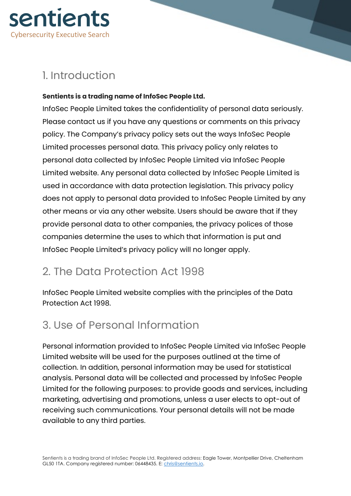

## 1. Introduction

#### **Sentients is a trading name of InfoSec People Ltd.**

InfoSec People Limited takes the confidentiality of personal data seriously. Please contact us if you have any questions or comments on this privacy policy. The Company's privacy policy sets out the ways InfoSec People Limited processes personal data. This privacy policy only relates to personal data collected by InfoSec People Limited via InfoSec People Limited website. Any personal data collected by InfoSec People Limited is used in accordance with data protection legislation. This privacy policy does not apply to personal data provided to InfoSec People Limited by any other means or via any other website. Users should be aware that if they provide personal data to other companies, the privacy polices of those companies determine the uses to which that information is put and InfoSec People Limited's privacy policy will no longer apply.

## 2. The Data Protection Act 1998

InfoSec People Limited website complies with the principles of the Data Protection Act 1998.

## 3. Use of Personal Information

Personal information provided to InfoSec People Limited via InfoSec People Limited website will be used for the purposes outlined at the time of collection. In addition, personal information may be used for statistical analysis. Personal data will be collected and processed by InfoSec People Limited for the following purposes: to provide goods and services, including marketing, advertising and promotions, unless a user elects to opt-out of receiving such communications. Your personal details will not be made available to any third parties.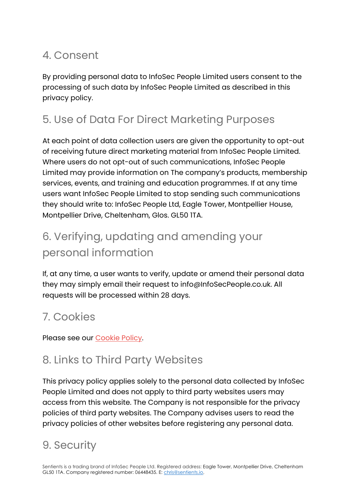## 4. Consent

By providing personal data to InfoSec People Limited users consent to the processing of such data by InfoSec People Limited as described in this privacy policy.

## 5. Use of Data For Direct Marketing Purposes

At each point of data collection users are given the opportunity to opt-out of receiving future direct marketing material from InfoSec People Limited. Where users do not opt-out of such communications, InfoSec People Limited may provide information on The company's products, membership services, events, and training and education programmes. If at any time users want InfoSec People Limited to stop sending such communications they should write to: InfoSec People Ltd, Eagle Tower, Montpellier House, Montpellier Drive, Cheltenham, Glos. GL50 1TA.

# 6. Verifying, updating and amending your personal information

If, at any time, a user wants to verify, update or amend their personal data they may simply email their request to info@InfoSecPeople.co.uk. All requests will be processed within 28 days.

## 7. Cookies

Please see our Cookie Policy.

## 8. Links to Third Party Websites

This privacy policy applies solely to the personal data collected by InfoSec People Limited and does not apply to third party websites users may access from this website. The Company is not responsible for the privacy policies of third party websites. The Company advises users to read the privacy policies of other websites before registering any personal data.

## 9. Security